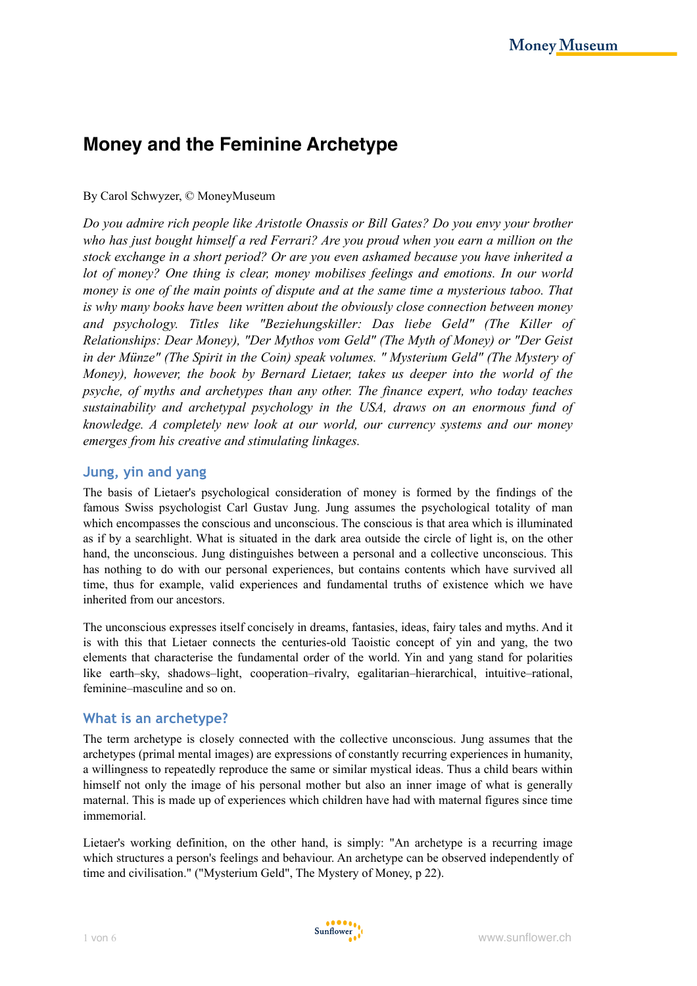# **Money and the Feminine Archetype**

#### By Carol Schwyzer, © MoneyMuseum

*Do you admire rich people like Aristotle Onassis or Bill Gates? Do you envy your brother who has just bought himself a red Ferrari? Are you proud when you earn a million on the stock exchange in a short period? Or are you even ashamed because you have inherited a lot of money? One thing is clear, money mobilises feelings and emotions. In our world money is one of the main points of dispute and at the same time a mysterious taboo. That is why many books have been written about the obviously close connection between money and psychology. Titles like "Beziehungskiller: Das liebe Geld" (The Killer of Relationships: Dear Money), "Der Mythos vom Geld" (The Myth of Money) or "Der Geist in der Münze" (The Spirit in the Coin) speak volumes. " Mysterium Geld" (The Mystery of Money), however, the book by Bernard Lietaer, takes us deeper into the world of the psyche, of myths and archetypes than any other. The finance expert, who today teaches sustainability and archetypal psychology in the USA, draws on an enormous fund of knowledge. A completely new look at our world, our currency systems and our money emerges from his creative and stimulating linkages.* 

### **Jung, yin and yang**

The basis of Lietaer's psychological consideration of money is formed by the findings of the famous Swiss psychologist Carl Gustav Jung. Jung assumes the psychological totality of man which encompasses the conscious and unconscious. The conscious is that area which is illuminated as if by a searchlight. What is situated in the dark area outside the circle of light is, on the other hand, the unconscious. Jung distinguishes between a personal and a collective unconscious. This has nothing to do with our personal experiences, but contains contents which have survived all time, thus for example, valid experiences and fundamental truths of existence which we have inherited from our ancestors.

The unconscious expresses itself concisely in dreams, fantasies, ideas, fairy tales and myths. And it is with this that Lietaer connects the centuries-old Taoistic concept of yin and yang, the two elements that characterise the fundamental order of the world. Yin and yang stand for polarities like earth–sky, shadows–light, cooperation–rivalry, egalitarian–hierarchical, intuitive–rational, feminine–masculine and so on.

## **What is an archetype?**

The term archetype is closely connected with the collective unconscious. Jung assumes that the archetypes (primal mental images) are expressions of constantly recurring experiences in humanity, a willingness to repeatedly reproduce the same or similar mystical ideas. Thus a child bears within himself not only the image of his personal mother but also an inner image of what is generally maternal. This is made up of experiences which children have had with maternal figures since time immemorial.

Lietaer's working definition, on the other hand, is simply: "An archetype is a recurring image which structures a person's feelings and behaviour. An archetype can be observed independently of time and civilisation." ("Mysterium Geld", The Mystery of Money, p 22).

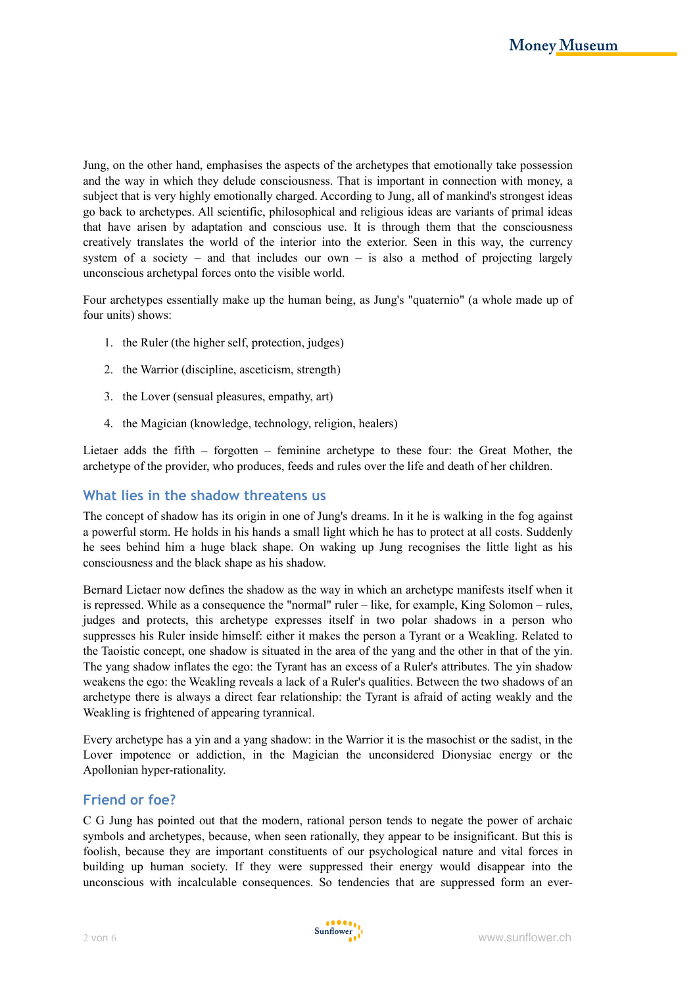Jung, on the other hand, emphasises the aspects of the archetypes that emotionally take possession and the way in which they delude consciousness. That is important in connection with money, a subject that is very highly emotionally charged. According to Jung, all of mankind's strongest ideas go back to archetypes. All scientific, philosophical and religious ideas are variants of primal ideas that have arisen by adaptation and conscious use. It is through them that the consciousness creatively translates the world of the interior into the exterior. Seen in this way, the currency system of a society – and that includes our own – is also a method of projecting largely unconscious archetypal forces onto the visible world.

Four archetypes essentially make up the human being, as Jung's "quaternio" (a whole made up of four units) shows:

- 1. the Ruler (the higher self, protection, judges)
- 2. the Warrior (discipline, asceticism, strength)
- 3. the Lover (sensual pleasures, empathy, art)
- 4. the Magician (knowledge, technology, religion, healers)

Lietaer adds the fifth – forgotten – feminine archetype to these four: the Great Mother, the archetype of the provider, who produces, feeds and rules over the life and death of her children.

## **What lies in the shadow threatens us**

The concept of shadow has its origin in one of Jung's dreams. In it he is walking in the fog against a powerful storm. He holds in his hands a small light which he has to protect at all costs. Suddenly he sees behind him a huge black shape. On waking up Jung recognises the little light as his consciousness and the black shape as his shadow.

Bernard Lietaer now defines the shadow as the way in which an archetype manifests itself when it is repressed. While as a consequence the "normal" ruler – like, for example, King Solomon – rules, judges and protects, this archetype expresses itself in two polar shadows in a person who suppresses his Ruler inside himself: either it makes the person a Tyrant or a Weakling. Related to the Taoistic concept, one shadow is situated in the area of the yang and the other in that of the yin. The yang shadow inflates the ego: the Tyrant has an excess of a Ruler's attributes. The yin shadow weakens the ego: the Weakling reveals a lack of a Ruler's qualities. Between the two shadows of an archetype there is always a direct fear relationship: the Tyrant is afraid of acting weakly and the Weakling is frightened of appearing tyrannical.

Every archetype has a yin and a yang shadow: in the Warrior it is the masochist or the sadist, in the Lover impotence or addiction, in the Magician the unconsidered Dionysiac energy or the Apollonian hyper-rationality.

#### **Friend or foe?**

C G Jung has pointed out that the modern, rational person tends to negate the power of archaic symbols and archetypes, because, when seen rationally, they appear to be insignificant. But this is foolish, because they are important constituents of our psychological nature and vital forces in building up human society. If they were suppressed their energy would disappear into the unconscious with incalculable consequences. So tendencies that are suppressed form an ever-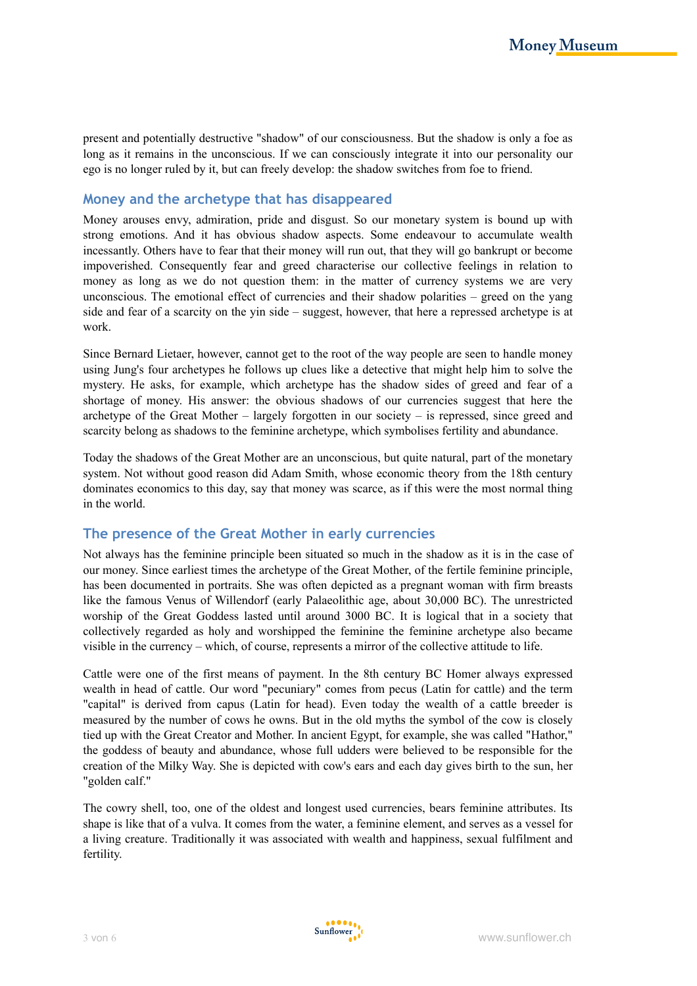present and potentially destructive "shadow" of our consciousness. But the shadow is only a foe as long as it remains in the unconscious. If we can consciously integrate it into our personality our ego is no longer ruled by it, but can freely develop: the shadow switches from foe to friend.

# **Money and the archetype that has disappeared**

Money arouses envy, admiration, pride and disgust. So our monetary system is bound up with strong emotions. And it has obvious shadow aspects. Some endeavour to accumulate wealth incessantly. Others have to fear that their money will run out, that they will go bankrupt or become impoverished. Consequently fear and greed characterise our collective feelings in relation to money as long as we do not question them: in the matter of currency systems we are very unconscious. The emotional effect of currencies and their shadow polarities – greed on the yang side and fear of a scarcity on the yin side – suggest, however, that here a repressed archetype is at work.

Since Bernard Lietaer, however, cannot get to the root of the way people are seen to handle money using Jung's four archetypes he follows up clues like a detective that might help him to solve the mystery. He asks, for example, which archetype has the shadow sides of greed and fear of a shortage of money. His answer: the obvious shadows of our currencies suggest that here the archetype of the Great Mother – largely forgotten in our society – is repressed, since greed and scarcity belong as shadows to the feminine archetype, which symbolises fertility and abundance.

Today the shadows of the Great Mother are an unconscious, but quite natural, part of the monetary system. Not without good reason did Adam Smith, whose economic theory from the 18th century dominates economics to this day, say that money was scarce, as if this were the most normal thing in the world.

## **The presence of the Great Mother in early currencies**

Not always has the feminine principle been situated so much in the shadow as it is in the case of our money. Since earliest times the archetype of the Great Mother, of the fertile feminine principle, has been documented in portraits. She was often depicted as a pregnant woman with firm breasts like the famous Venus of Willendorf (early Palaeolithic age, about 30,000 BC). The unrestricted worship of the Great Goddess lasted until around 3000 BC. It is logical that in a society that collectively regarded as holy and worshipped the feminine the feminine archetype also became visible in the currency – which, of course, represents a mirror of the collective attitude to life.

Cattle were one of the first means of payment. In the 8th century BC Homer always expressed wealth in head of cattle. Our word "pecuniary" comes from pecus (Latin for cattle) and the term "capital" is derived from capus (Latin for head). Even today the wealth of a cattle breeder is measured by the number of cows he owns. But in the old myths the symbol of the cow is closely tied up with the Great Creator and Mother. In ancient Egypt, for example, she was called "Hathor," the goddess of beauty and abundance, whose full udders were believed to be responsible for the creation of the Milky Way. She is depicted with cow's ears and each day gives birth to the sun, her "golden calf."

The cowry shell, too, one of the oldest and longest used currencies, bears feminine attributes. Its shape is like that of a vulva. It comes from the water, a feminine element, and serves as a vessel for a living creature. Traditionally it was associated with wealth and happiness, sexual fulfilment and fertility.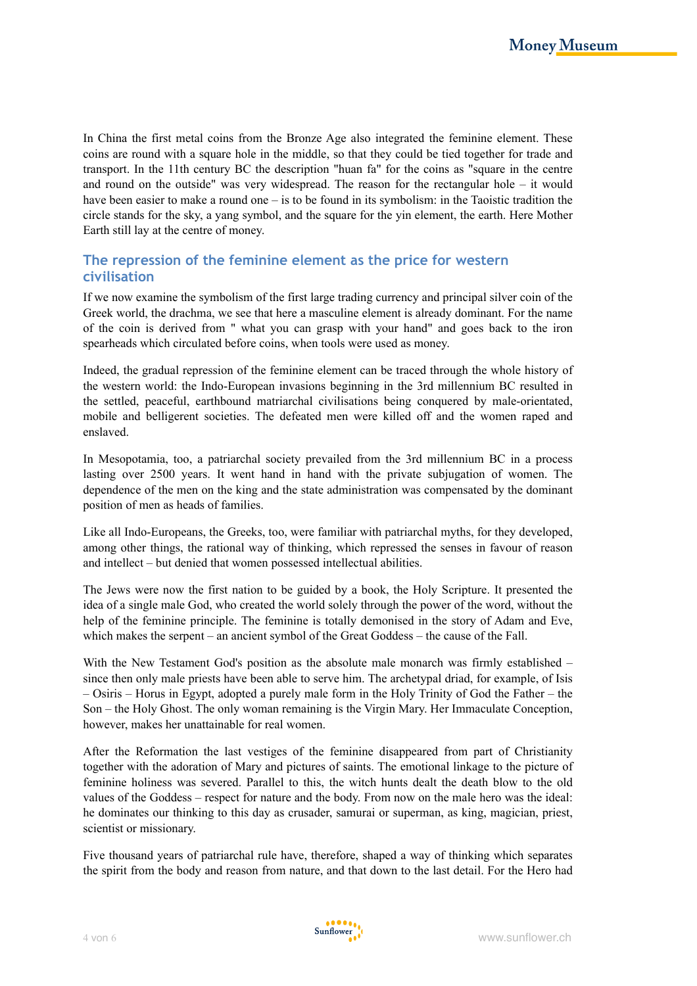In China the first metal coins from the Bronze Age also integrated the feminine element. These coins are round with a square hole in the middle, so that they could be tied together for trade and transport. In the 11th century BC the description "huan fa" for the coins as "square in the centre and round on the outside" was very widespread. The reason for the rectangular hole – it would have been easier to make a round one – is to be found in its symbolism: in the Taoistic tradition the circle stands for the sky, a yang symbol, and the square for the yin element, the earth. Here Mother Earth still lay at the centre of money.

# **The repression of the feminine element as the price for western civilisation**

If we now examine the symbolism of the first large trading currency and principal silver coin of the Greek world, the drachma, we see that here a masculine element is already dominant. For the name of the coin is derived from " what you can grasp with your hand" and goes back to the iron spearheads which circulated before coins, when tools were used as money.

Indeed, the gradual repression of the feminine element can be traced through the whole history of the western world: the Indo-European invasions beginning in the 3rd millennium BC resulted in the settled, peaceful, earthbound matriarchal civilisations being conquered by male-orientated, mobile and belligerent societies. The defeated men were killed off and the women raped and enslaved.

In Mesopotamia, too, a patriarchal society prevailed from the 3rd millennium BC in a process lasting over 2500 years. It went hand in hand with the private subjugation of women. The dependence of the men on the king and the state administration was compensated by the dominant position of men as heads of families.

Like all Indo-Europeans, the Greeks, too, were familiar with patriarchal myths, for they developed, among other things, the rational way of thinking, which repressed the senses in favour of reason and intellect – but denied that women possessed intellectual abilities.

The Jews were now the first nation to be guided by a book, the Holy Scripture. It presented the idea of a single male God, who created the world solely through the power of the word, without the help of the feminine principle. The feminine is totally demonised in the story of Adam and Eve, which makes the serpent – an ancient symbol of the Great Goddess – the cause of the Fall.

With the New Testament God's position as the absolute male monarch was firmly established – since then only male priests have been able to serve him. The archetypal driad, for example, of Isis – Osiris – Horus in Egypt, adopted a purely male form in the Holy Trinity of God the Father – the Son – the Holy Ghost. The only woman remaining is the Virgin Mary. Her Immaculate Conception, however, makes her unattainable for real women.

After the Reformation the last vestiges of the feminine disappeared from part of Christianity together with the adoration of Mary and pictures of saints. The emotional linkage to the picture of feminine holiness was severed. Parallel to this, the witch hunts dealt the death blow to the old values of the Goddess – respect for nature and the body. From now on the male hero was the ideal: he dominates our thinking to this day as crusader, samurai or superman, as king, magician, priest, scientist or missionary.

Five thousand years of patriarchal rule have, therefore, shaped a way of thinking which separates the spirit from the body and reason from nature, and that down to the last detail. For the Hero had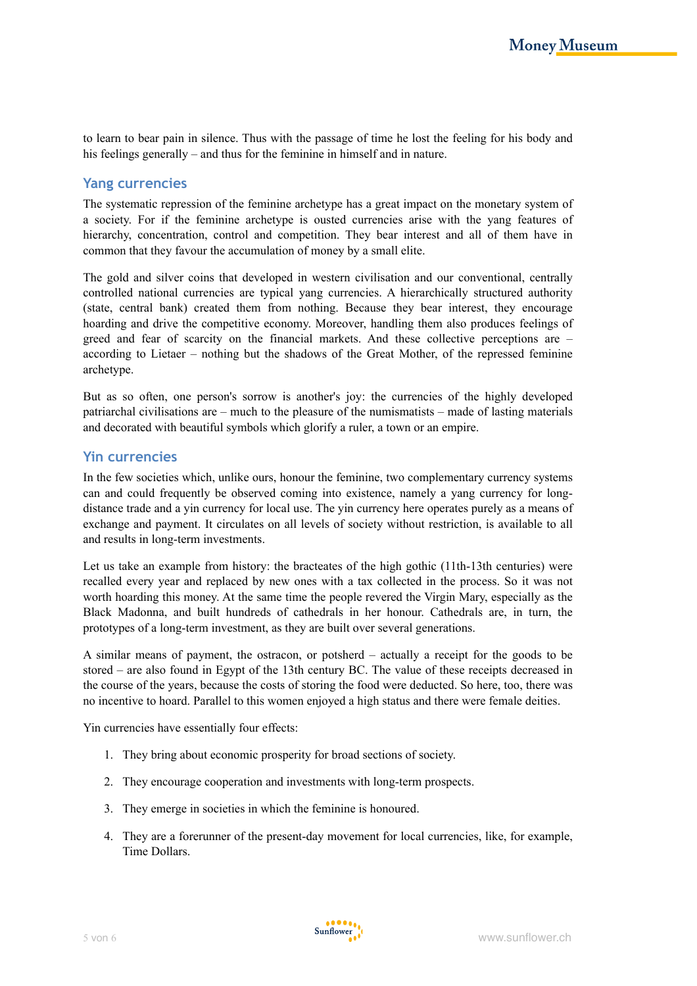to learn to bear pain in silence. Thus with the passage of time he lost the feeling for his body and his feelings generally – and thus for the feminine in himself and in nature.

#### **Yang currencies**

The systematic repression of the feminine archetype has a great impact on the monetary system of a society. For if the feminine archetype is ousted currencies arise with the yang features of hierarchy, concentration, control and competition. They bear interest and all of them have in common that they favour the accumulation of money by a small elite.

The gold and silver coins that developed in western civilisation and our conventional, centrally controlled national currencies are typical yang currencies. A hierarchically structured authority (state, central bank) created them from nothing. Because they bear interest, they encourage hoarding and drive the competitive economy. Moreover, handling them also produces feelings of greed and fear of scarcity on the financial markets. And these collective perceptions are – according to Lietaer – nothing but the shadows of the Great Mother, of the repressed feminine archetype.

But as so often, one person's sorrow is another's joy: the currencies of the highly developed patriarchal civilisations are – much to the pleasure of the numismatists – made of lasting materials and decorated with beautiful symbols which glorify a ruler, a town or an empire.

### **Yin currencies**

In the few societies which, unlike ours, honour the feminine, two complementary currency systems can and could frequently be observed coming into existence, namely a yang currency for longdistance trade and a yin currency for local use. The yin currency here operates purely as a means of exchange and payment. It circulates on all levels of society without restriction, is available to all and results in long-term investments.

Let us take an example from history: the bracteates of the high gothic (11th-13th centuries) were recalled every year and replaced by new ones with a tax collected in the process. So it was not worth hoarding this money. At the same time the people revered the Virgin Mary, especially as the Black Madonna, and built hundreds of cathedrals in her honour. Cathedrals are, in turn, the prototypes of a long-term investment, as they are built over several generations.

A similar means of payment, the ostracon, or potsherd – actually a receipt for the goods to be stored – are also found in Egypt of the 13th century BC. The value of these receipts decreased in the course of the years, because the costs of storing the food were deducted. So here, too, there was no incentive to hoard. Parallel to this women enjoyed a high status and there were female deities.

Yin currencies have essentially four effects:

- 1. They bring about economic prosperity for broad sections of society.
- 2. They encourage cooperation and investments with long-term prospects.
- 3. They emerge in societies in which the feminine is honoured.
- 4. They are a forerunner of the present-day movement for local currencies, like, for example, Time Dollars.